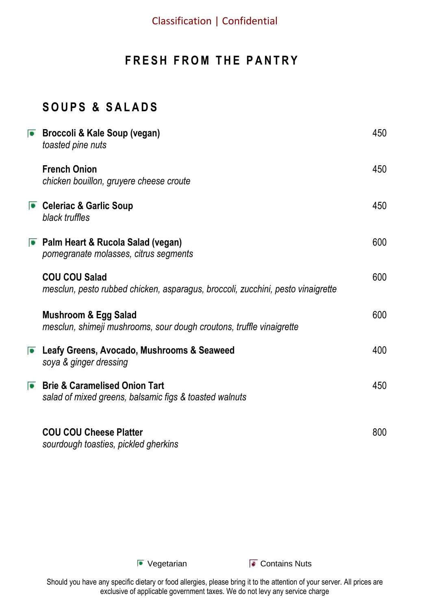### **FRESH FROM THE PANTRY**

### **S O U P S & S A L A D S**

| ■ Broccoli & Kale Soup (vegan)<br>toasted pine nuts                                                     | 450 |
|---------------------------------------------------------------------------------------------------------|-----|
| <b>French Onion</b><br>chicken bouillon, gruyere cheese croute                                          | 450 |
| Celeriac & Garlic Soup<br>black truffles                                                                | 450 |
| ■ Palm Heart & Rucola Salad (vegan)<br>pomegranate molasses, citrus segments                            | 600 |
| <b>COU COU Salad</b><br>mesclun, pesto rubbed chicken, asparagus, broccoli, zucchini, pesto vinaigrette | 600 |
| <b>Mushroom &amp; Egg Salad</b><br>mesclun, shimeji mushrooms, sour dough croutons, truffle vinaigrette | 600 |
| <b>E</b> Leafy Greens, Avocado, Mushrooms & Seaweed<br>soya & ginger dressing                           | 400 |
| <b>Brie &amp; Caramelised Onion Tart</b><br>salad of mixed greens, balsamic figs & toasted walnuts      | 450 |
| <b>COU COU Cheese Platter</b><br>sourdough toasties, pickled gherkins                                   | 800 |

■ Vegetarian **Contains Nuts**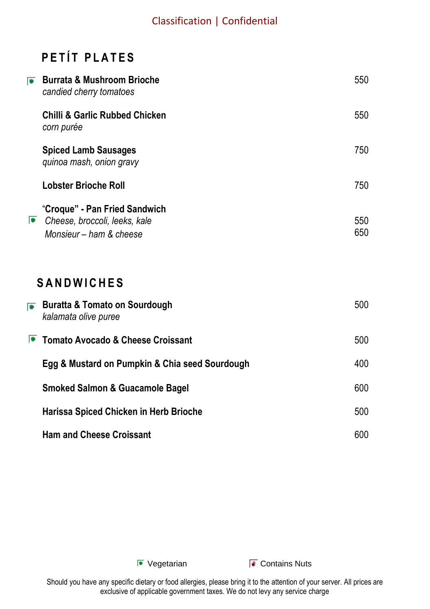# **PETÍT PLATES**

| $\bullet$ | <b>Burrata &amp; Mushroom Brioche</b><br>candied cherry tomatoes                          | 550        |
|-----------|-------------------------------------------------------------------------------------------|------------|
|           | <b>Chilli &amp; Garlic Rubbed Chicken</b><br>corn purée                                   | 550        |
|           | <b>Spiced Lamb Sausages</b><br>quinoa mash, onion gravy                                   | 750        |
|           | <b>Lobster Brioche Roll</b>                                                               | 750        |
| $\bullet$ | "Croque" - Pan Fried Sandwich<br>Cheese, broccoli, leeks, kale<br>Monsieur - ham & cheese | 550<br>650 |
|           | <b>SANDWICHES</b>                                                                         |            |
| $\bullet$ | <b>Buratta &amp; Tomato on Sourdough</b><br>kalamata olive puree                          | 500        |
|           | • Tomato Avocado & Cheese Croissant                                                       | 500        |
|           | Egg & Mustard on Pumpkin & Chia seed Sourdough                                            | 400        |
|           | <b>Smoked Salmon &amp; Guacamole Bagel</b>                                                | 600        |
|           | Harissa Spiced Chicken in Herb Brioche                                                    | 500        |

**Ham and Cheese Croissant** 

**E** Vegetarian **Contains Nuts** 

600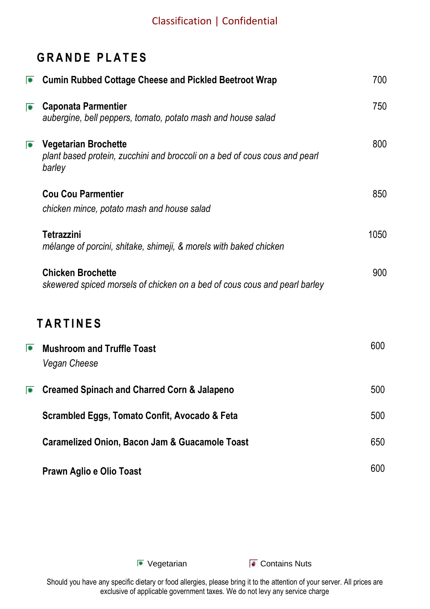## **GRANDE PLATES**

| $\bullet$ | <b>Cumin Rubbed Cottage Cheese and Pickled Beetroot Wrap</b>                                                        | 700  |
|-----------|---------------------------------------------------------------------------------------------------------------------|------|
| $\bullet$ | <b>Caponata Parmentier</b><br>aubergine, bell peppers, tomato, potato mash and house salad                          | 750  |
| $\bullet$ | <b>Vegetarian Brochette</b><br>plant based protein, zucchini and broccoli on a bed of cous cous and pearl<br>barley | 800  |
|           | <b>Cou Cou Parmentier</b><br>chicken mince, potato mash and house salad                                             | 850  |
|           | Tetrazzini<br>mélange of porcini, shitake, shimeji, & morels with baked chicken                                     | 1050 |
|           | <b>Chicken Brochette</b><br>skewered spiced morsels of chicken on a bed of cous cous and pearl barley               | 900  |
|           | <b>TARTINES</b>                                                                                                     |      |
| $\bullet$ | <b>Mushroom and Truffle Toast</b><br>Vegan Cheese                                                                   | 600  |
| $\bullet$ | <b>Creamed Spinach and Charred Corn &amp; Jalapeno</b>                                                              | 500  |
|           | Scrambled Eggs, Tomato Confit, Avocado & Feta                                                                       | 500  |
|           | Caramelized Onion, Bacon Jam & Guacamole Toast                                                                      | 650  |
|           | Prawn Aglio e Olio Toast                                                                                            | 600  |

**E** Vegetarian **Contains Nuts**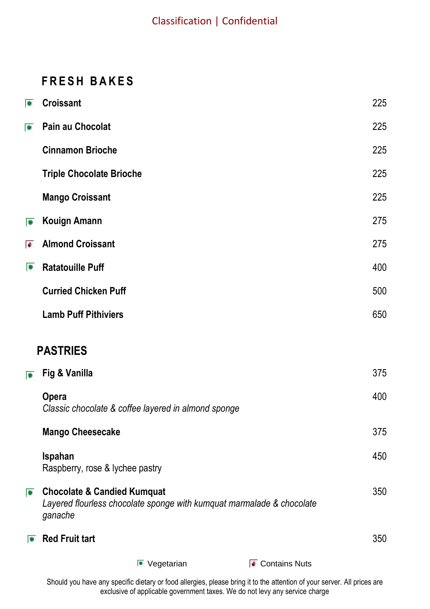### **F R E S H B A K E S**

| $\bullet$ | Croissant                                                                                                                  | 225 |
|-----------|----------------------------------------------------------------------------------------------------------------------------|-----|
| $\bullet$ | Pain au Chocolat                                                                                                           | 225 |
|           | <b>Cinnamon Brioche</b>                                                                                                    | 225 |
|           | <b>Triple Chocolate Brioche</b>                                                                                            | 225 |
|           | <b>Mango Croissant</b>                                                                                                     | 225 |
| $\bullet$ | <b>Kouign Amann</b>                                                                                                        | 275 |
| ÷         | <b>Almond Croissant</b>                                                                                                    | 275 |
| $\bullet$ | <b>Ratatouille Puff</b>                                                                                                    | 400 |
|           | <b>Curried Chicken Puff</b>                                                                                                | 500 |
|           | <b>Lamb Puff Pithiviers</b>                                                                                                | 650 |
|           | <b>PASTRIES</b>                                                                                                            |     |
| $\bullet$ | Fig & Vanilla                                                                                                              | 375 |
|           | Opera<br>Classic chocolate & coffee layered in almond sponge                                                               | 400 |
|           | <b>Mango Cheesecake</b>                                                                                                    | 375 |
|           | Ispahan<br>Raspberry, rose & lychee pastry                                                                                 | 450 |
| $\bullet$ | <b>Chocolate &amp; Candied Kumquat</b><br>Layered flourless chocolate sponge with kumquat marmalade & chocolate<br>ganache | 350 |
|           | $\overline{\bullet}$ Red Fruit tart                                                                                        | 350 |
|           | ■ Contains Nuts<br>$\bullet$ Vegetarian                                                                                    |     |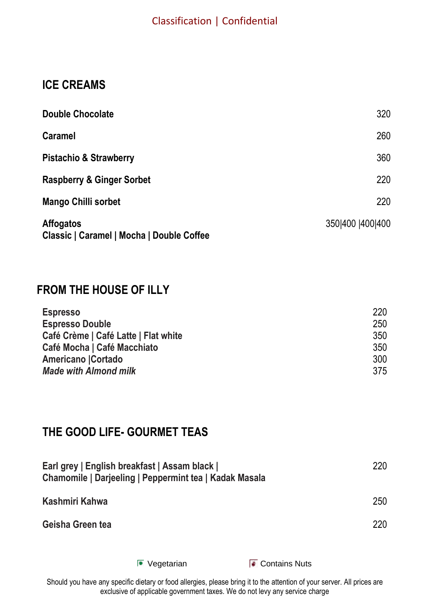### **ICE CREAMS**

| <b>Double Chocolate</b>                                       | 320              |
|---------------------------------------------------------------|------------------|
| <b>Caramel</b>                                                | 260              |
| <b>Pistachio &amp; Strawberry</b>                             | 360              |
| <b>Raspberry &amp; Ginger Sorbet</b>                          | 220              |
| Mango Chilli sorbet                                           | 220              |
| <b>Affogatos</b><br>Classic   Caramel   Mocha   Double Coffee | 350 400  400 400 |

### **FROM THE HOUSE OF ILLY**

| <b>Espresso</b>                      | 220 |
|--------------------------------------|-----|
| <b>Espresso Double</b>               | 250 |
| Café Crème   Café Latte   Flat white | 350 |
| Café Mocha   Café Macchiato          | 350 |
| Americano   Cortado                  | 300 |
| <b>Made with Almond milk</b>         | 375 |

### **THE GOOD LIFE- GOURMET TEAS**

| Earl grey   English breakfast   Assam black  <br>Chamomile   Darjeeling   Peppermint tea   Kadak Masala | 220 |
|---------------------------------------------------------------------------------------------------------|-----|
| Kashmiri Kahwa                                                                                          | 250 |
| Geisha Green tea                                                                                        | 220 |
|                                                                                                         |     |

**Vegetarian Contains Nuts**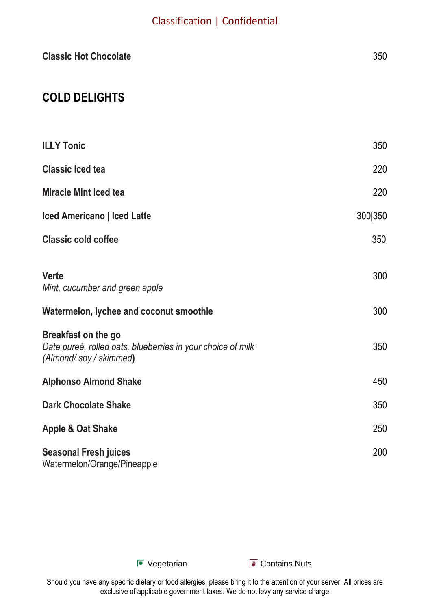| <b>Classic Hot Chocolate</b>                                                                               | 350     |
|------------------------------------------------------------------------------------------------------------|---------|
| <b>COLD DELIGHTS</b>                                                                                       |         |
| <b>ILLY Tonic</b>                                                                                          | 350     |
| <b>Classic Iced tea</b>                                                                                    | 220     |
| <b>Miracle Mint Iced tea</b>                                                                               | 220     |
| <b>Iced Americano   Iced Latte</b>                                                                         | 300 350 |
| <b>Classic cold coffee</b>                                                                                 | 350     |
| Verte<br>Mint, cucumber and green apple                                                                    | 300     |
| Watermelon, lychee and coconut smoothie                                                                    | 300     |
| Breakfast on the go<br>Date pureé, rolled oats, blueberries in your choice of milk<br>(Almond/soy/skimmed) | 350     |
| <b>Alphonso Almond Shake</b>                                                                               | 450     |
| <b>Dark Chocolate Shake</b>                                                                                | 350     |
| Apple & Oat Shake                                                                                          | 250     |
| <b>Seasonal Fresh juices</b><br>Watermelon/Orange/Pineapple                                                | 200     |

**E** Vegetarian **Contains Nuts**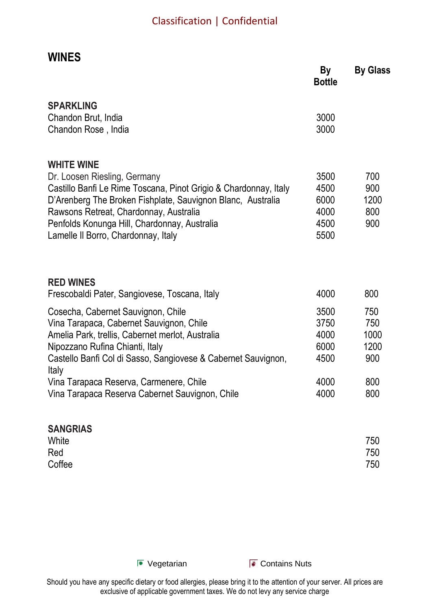### **WINES**

|                                                                                                                                 | <b>Bottle</b> |              |
|---------------------------------------------------------------------------------------------------------------------------------|---------------|--------------|
| <b>SPARKLING</b>                                                                                                                |               |              |
| Chandon Brut, India<br>Chandon Rose, India                                                                                      | 3000<br>3000  |              |
| <b>WHITE WINE</b>                                                                                                               |               |              |
| Dr. Loosen Riesling, Germany                                                                                                    | 3500          | 700          |
| Castillo Banfi Le Rime Toscana, Pinot Grigio & Chardonnay, Italy<br>D'Arenberg The Broken Fishplate, Sauvignon Blanc, Australia | 4500<br>6000  | 900<br>1200  |
| Rawsons Retreat, Chardonnay, Australia                                                                                          | 4000          | 800          |
| Penfolds Konunga Hill, Chardonnay, Australia                                                                                    | 4500          | 900          |
| Lamelle II Borro, Chardonnay, Italy                                                                                             | 5500          |              |
| <b>RED WINES</b>                                                                                                                |               |              |
| Frescobaldi Pater, Sangiovese, Toscana, Italy                                                                                   | 4000          | 800          |
| Cosecha, Cabernet Sauvignon, Chile                                                                                              | 3500          | 750          |
| Vina Tarapaca, Cabernet Sauvignon, Chile                                                                                        | 3750          | 750          |
| Amelia Park, trellis, Cabernet merlot, Australia<br>Nipozzano Rufina Chianti, Italy                                             | 4000<br>6000  | 1000<br>1200 |
| Castello Banfi Col di Sasso, Sangiovese & Cabernet Sauvignon,<br>Italy                                                          | 4500          | 900          |
| Vina Tarapaca Reserva, Carmenere, Chile                                                                                         | 4000          | 800          |
| Vina Tarapaca Reserva Cabernet Sauvignon, Chile                                                                                 | 4000          | 800          |
| <b>SANGRIAS</b>                                                                                                                 |               |              |
| White<br>Red                                                                                                                    |               | 750<br>750   |
| Coffee                                                                                                                          |               | 750          |

**E** Vegetarian **Contains Nuts**